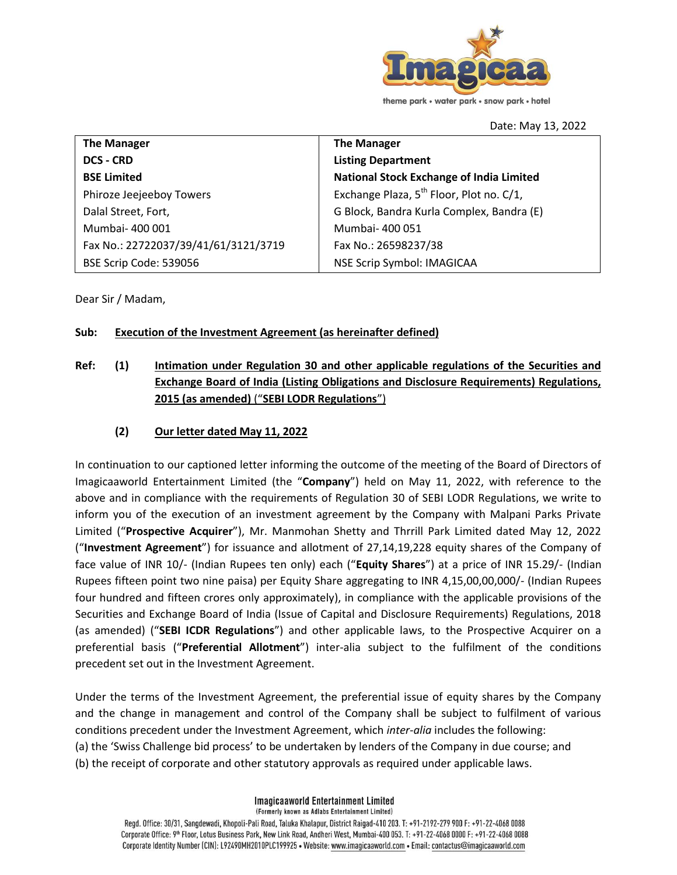

Date: May 13, 2022

| <b>The Manager</b>                   | <b>The Manager</b>                                   |
|--------------------------------------|------------------------------------------------------|
| <b>DCS - CRD</b>                     | <b>Listing Department</b>                            |
| <b>BSE Limited</b>                   | <b>National Stock Exchange of India Limited</b>      |
| Phiroze Jeejeeboy Towers             | Exchange Plaza, 5 <sup>th</sup> Floor, Plot no. C/1, |
| Dalal Street, Fort,                  | G Block, Bandra Kurla Complex, Bandra (E)            |
| Mumbai-400 001                       | Mumbai-400051                                        |
| Fax No.: 22722037/39/41/61/3121/3719 | Fax No.: 26598237/38                                 |
| BSE Scrip Code: 539056               | NSE Scrip Symbol: IMAGICAA                           |

Dear Sir / Madam,

#### **Sub: Execution of the Investment Agreement (as hereinafter defined)**

## **Ref: (1) Intimation under Regulation 30 and other applicable regulations of the Securities and Exchange Board of India (Listing Obligations and Disclosure Requirements) Regulations, 2015 (as amended)** ("**SEBI LODR Regulations**")

### **(2) Our letter dated May 11, 2022**

In continuation to our captioned letter informing the outcome of the meeting of the Board of Directors of Imagicaaworld Entertainment Limited (the "**Company**") held on May 11, 2022, with reference to the above and in compliance with the requirements of Regulation 30 of SEBI LODR Regulations, we write to inform you of the execution of an investment agreement by the Company with Malpani Parks Private Limited ("**Prospective Acquirer**"), Mr. Manmohan Shetty and Thrrill Park Limited dated May 12, 2022 ("**Investment Agreement**") for issuance and allotment of 27,14,19,228 equity shares of the Company of face value of INR 10/- (Indian Rupees ten only) each ("**Equity Shares**") at a price of INR 15.29/- (Indian Rupees fifteen point two nine paisa) per Equity Share aggregating to INR 4,15,00,00,000/- (Indian Rupees four hundred and fifteen crores only approximately), in compliance with the applicable provisions of the Securities and Exchange Board of India (Issue of Capital and Disclosure Requirements) Regulations, 2018 (as amended) ("**SEBI ICDR Regulations**") and other applicable laws, to the Prospective Acquirer on a preferential basis ("**Preferential Allotment**") inter-alia subject to the fulfilment of the conditions precedent set out in the Investment Agreement.

Under the terms of the Investment Agreement, the preferential issue of equity shares by the Company and the change in management and control of the Company shall be subject to fulfilment of various conditions precedent under the Investment Agreement, which *inter-alia* includes the following: (a) the 'Swiss Challenge bid process' to be undertaken by lenders of the Company in due course; and (b) the receipt of corporate and other statutory approvals as required under applicable laws.

> **Imagicaaworld Entertainment Limited** (Formerly known as Adlabs Entertainment Limited)

Regd. Office: 30/31, Sangdewadi, Khopoli-Pali Road, Taluka Khalapur, District Raigad-410 203. T: +91-2192-279 900 F: +91-22-4068 0088 Corporate Office: 9th Floor, Lotus Business Park, New Link Road, Andheri West, Mumbai-400 053. T: +91-22-4068 0000 F: +91-22-4068 0088 Corporate Identity Number (CIN): L92490MH2010PLC199925 • Website: www.imagicaaworld.com • Email: contactus@imagicaaworld.com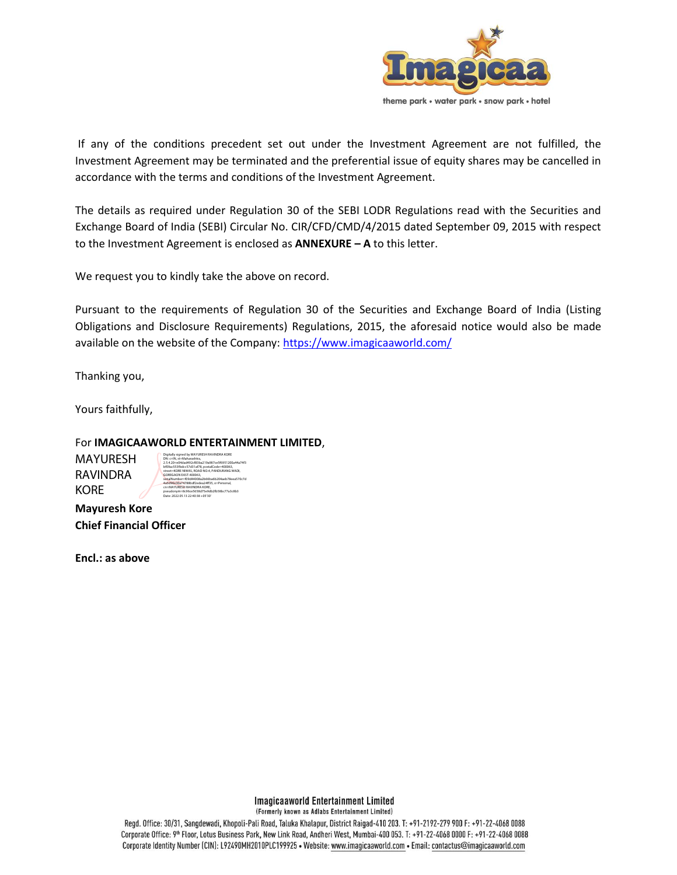

If any of the conditions precedent set out under the Investment Agreement are not fulfilled, the Investment Agreement may be terminated and the preferential issue of equity shares may be cancelled in accordance with the terms and conditions of the Investment Agreement.

The details as required under Regulation 30 of the SEBI LODR Regulations read with the Securities and Exchange Board of India (SEBI) Circular No. CIR/CFD/CMD/4/2015 dated September 09, 2015 with respect to the Investment Agreement is enclosed as **ANNEXURE – A** to this letter.

We request you to kindly take the above on record.

Pursuant to the requirements of Regulation 30 of the Securities and Exchange Board of India (Listing Obligations and Disclosure Requirements) Regulations, 2015, the aforesaid notice would also be made available on the website of the Company:<https://www.imagicaaworld.com/>

Thanking you,

Yours faithfully,

For **IMAGICAAWORLD ENTERTAINMENT LIMITED**,

MAYURESH RAVINDRA KORE

Digitally signed by MAYURESH RAVINDRA KORE DN: c=IN, st=Maharashtra, 2.5.4.20=e04dad492cf83ba219a987ce5f6951200a44a74f3 bf09ac553fbdcc57d31af78, postalCode=400063, street=KORE NIWAS, ROAD NO.4, PANDURANG WADI, GOREGAON EAST-400063, serialNumber=f09d44008a2b66ba6b204aeb78eea570c7d 4a5d96e30a74788bdf2edea24ff35, o=Personal, cn=MAYURESH RAVINDRA KORE, pseudonym=8c96ce5658d75e9db2fb58bc77a3c8b3 Date: 2022.05.13 22:40:38 +05'30'

**Mayuresh Kore Chief Financial Officer** 

**Encl.: as above**

**Imagicaaworld Entertainment Limited** (Formerly known as Adlabs Entertainment Limited)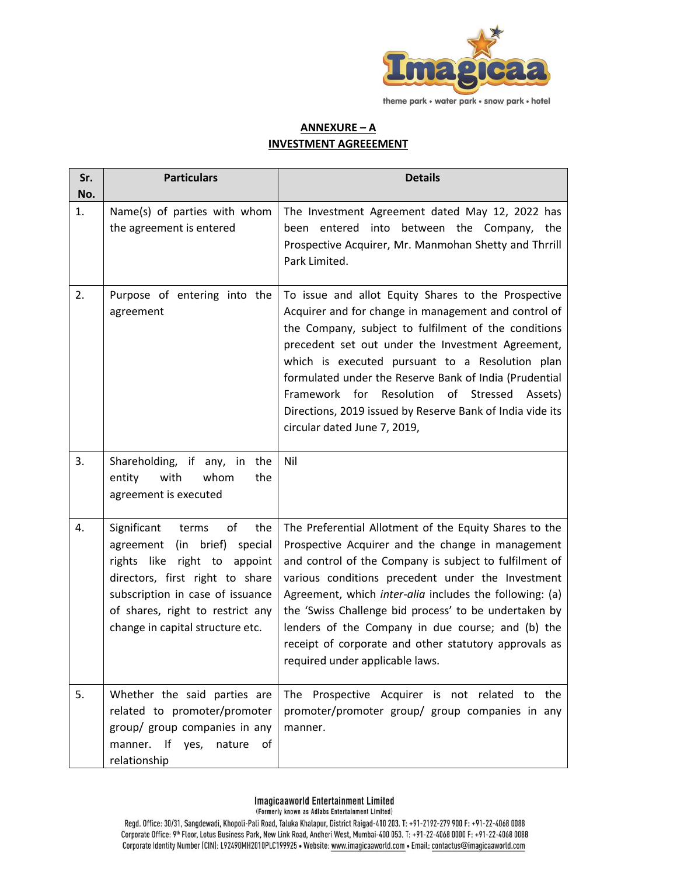

# **ANNEXURE – A INVESTMENT AGREEEMENT**

| Sr.       | <b>Particulars</b>                                                                                                                                                                                                                                     | <b>Details</b>                                                                                                                                                                                                                                                                                                                                                                                                                                                                                  |
|-----------|--------------------------------------------------------------------------------------------------------------------------------------------------------------------------------------------------------------------------------------------------------|-------------------------------------------------------------------------------------------------------------------------------------------------------------------------------------------------------------------------------------------------------------------------------------------------------------------------------------------------------------------------------------------------------------------------------------------------------------------------------------------------|
| No.<br>1. | Name(s) of parties with whom<br>the agreement is entered                                                                                                                                                                                               | The Investment Agreement dated May 12, 2022 has<br>been entered into between the Company, the<br>Prospective Acquirer, Mr. Manmohan Shetty and Thrrill<br>Park Limited.                                                                                                                                                                                                                                                                                                                         |
| 2.        | Purpose of entering into the<br>agreement                                                                                                                                                                                                              | To issue and allot Equity Shares to the Prospective<br>Acquirer and for change in management and control of<br>the Company, subject to fulfilment of the conditions<br>precedent set out under the Investment Agreement,<br>which is executed pursuant to a Resolution plan<br>formulated under the Reserve Bank of India (Prudential<br>Framework for Resolution<br>of Stressed<br>Assets)<br>Directions, 2019 issued by Reserve Bank of India vide its<br>circular dated June 7, 2019,        |
| 3.        | Shareholding, if any, in the<br>with<br>whom<br>the<br>entity<br>agreement is executed                                                                                                                                                                 | Nil                                                                                                                                                                                                                                                                                                                                                                                                                                                                                             |
| 4.        | Significant<br>terms<br>of<br>the<br>(in brief)<br>agreement<br>special<br>rights like right to appoint<br>directors, first right to share<br>subscription in case of issuance<br>of shares, right to restrict any<br>change in capital structure etc. | The Preferential Allotment of the Equity Shares to the<br>Prospective Acquirer and the change in management<br>and control of the Company is subject to fulfilment of<br>various conditions precedent under the Investment<br>Agreement, which inter-alia includes the following: (a)<br>the 'Swiss Challenge bid process' to be undertaken by<br>lenders of the Company in due course; and (b) the<br>receipt of corporate and other statutory approvals as<br>required under applicable laws. |
| 5.        | Whether the said parties are<br>related to promoter/promoter<br>group/ group companies in any<br>manner. If yes,<br>nature<br>of<br>relationship                                                                                                       | The<br>Prospective Acquirer is not related to the<br>promoter/promoter group/ group companies in any<br>manner.                                                                                                                                                                                                                                                                                                                                                                                 |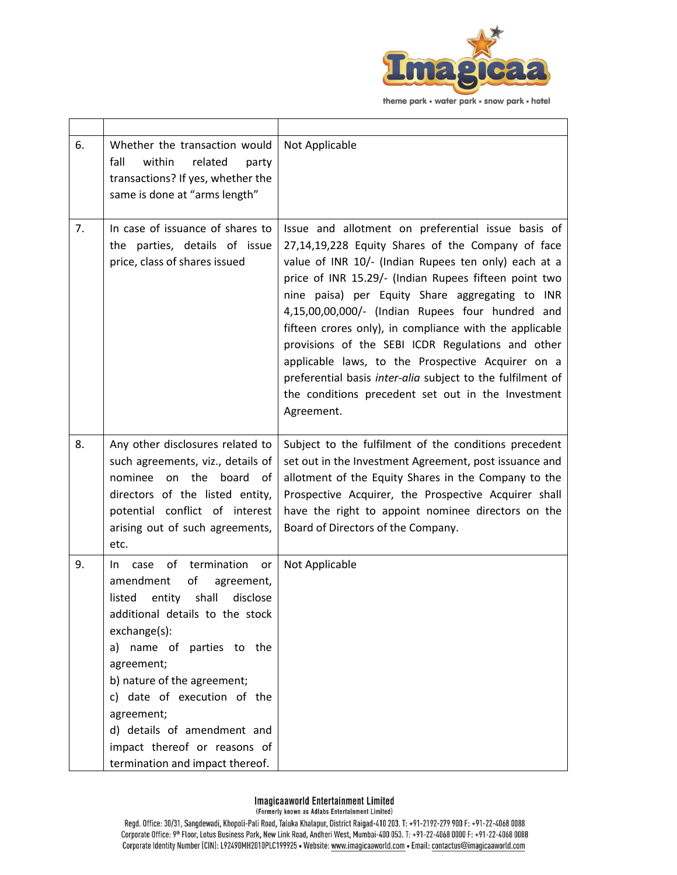

| 6. | Whether the transaction would<br>fall<br>within<br>related<br>party<br>transactions? If yes, whether the<br>same is done at "arms length"                                                                                                                                                                                                                                                    | Not Applicable                                                                                                                                                                                                                                                                                                                                                                                                                                                                                                                                                                                                                         |
|----|----------------------------------------------------------------------------------------------------------------------------------------------------------------------------------------------------------------------------------------------------------------------------------------------------------------------------------------------------------------------------------------------|----------------------------------------------------------------------------------------------------------------------------------------------------------------------------------------------------------------------------------------------------------------------------------------------------------------------------------------------------------------------------------------------------------------------------------------------------------------------------------------------------------------------------------------------------------------------------------------------------------------------------------------|
| 7. | In case of issuance of shares to<br>the parties, details of issue<br>price, class of shares issued                                                                                                                                                                                                                                                                                           | Issue and allotment on preferential issue basis of<br>27,14,19,228 Equity Shares of the Company of face<br>value of INR 10/- (Indian Rupees ten only) each at a<br>price of INR 15.29/- (Indian Rupees fifteen point two<br>nine paisa) per Equity Share aggregating to INR<br>4,15,00,00,000/- (Indian Rupees four hundred and<br>fifteen crores only), in compliance with the applicable<br>provisions of the SEBI ICDR Regulations and other<br>applicable laws, to the Prospective Acquirer on a<br>preferential basis inter-alia subject to the fulfilment of<br>the conditions precedent set out in the Investment<br>Agreement. |
| 8. | Any other disclosures related to<br>such agreements, viz., details of<br>on the board of<br>nominee<br>directors of the listed entity,<br>potential conflict of interest<br>arising out of such agreements,<br>etc.                                                                                                                                                                          | Subject to the fulfilment of the conditions precedent<br>set out in the Investment Agreement, post issuance and<br>allotment of the Equity Shares in the Company to the<br>Prospective Acquirer, the Prospective Acquirer shall<br>have the right to appoint nominee directors on the<br>Board of Directors of the Company.                                                                                                                                                                                                                                                                                                            |
| 9. | termination<br>of<br>case<br>In.<br>or<br>amendment<br>of<br>agreement,<br>shall<br>disclose<br>entity<br>listed<br>additional details to the stock<br>exchange(s):<br>a) name of parties to the<br>agreement;<br>b) nature of the agreement;<br>c) date of execution of the<br>agreement;<br>d) details of amendment and<br>impact thereof or reasons of<br>termination and impact thereof. | Not Applicable                                                                                                                                                                                                                                                                                                                                                                                                                                                                                                                                                                                                                         |

### **Imagicaaworld Entertainment Limited**

(Formerly known as Adlabs Entertainment Limited)